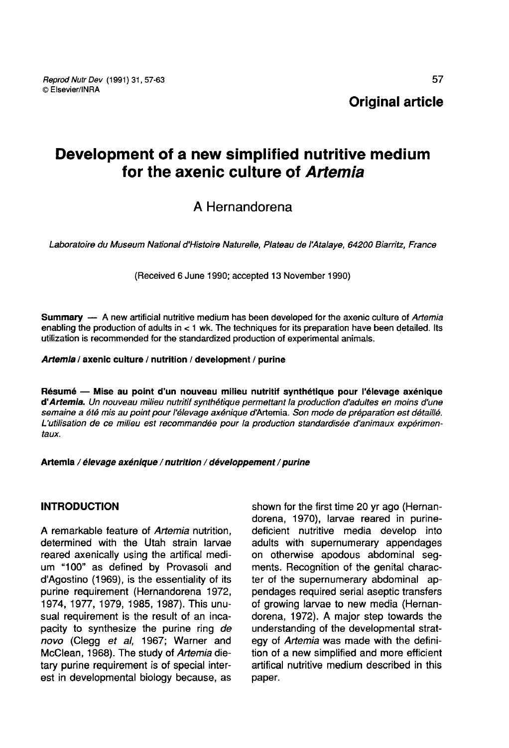# Development of a new simplified nutritive medium for the axenic culture of Artemia

## A Hernandorena

Laboratoire du Museum National d'Histoire Naturelle, Plateau de I Aialaye, 64200 Biarritz, France

(Received 6 June 1990; accepted 13 November 1990)

Summary ― A new artificial nutritive medium has been developed for the axenic culture of Artemia enabling the production of adults in < 1 wk. The techniques for its preparation have been detailed. Its utilization is recommended for the standardized production of experimental animals.

#### Artemia / axenic culture / nutrition / development / purine

Résumé ― Mise au point d'un nouveau milieu nutritif synthétique pour l'élevage axénique d'Artemia. Un nouveau milieu nutritif synthétique permettant la production d'adultes en moins d'une semaine a été mis au point pour l'élevage axénique d'Artemia. Son mode de préparation est détaillé. L'utilisation de ce milieu est recommandée pour la production standardisée d'animaux expérimen taux.

Artemia / élevage axénique / nutrition / développement / purine

## INTRODUCTION

A remarkable feature of Artemia nutrition. determined with the Utah strain larvae reared axenically using the artifical medium "100" as defined by Provasoli and d'Agostino (1969), is the essentiality of its purine requirement (Hernandorena 1972, 1974, 1977, 1979, 1985, 1987). This unusual requirement is the result of an incapacity to synthesize the purine ring de novo (Clegg et al, 1967; Warner and McClean, 1968). The study of Artemia dietary purine requirement is of special interest in developmental biology because, as shown for the first time 20 yr ago (Hernandorena, 1970), larvae reared in purinedeficient nutritive media develop into adults with supernumerary appendages on otherwise apodous abdominal segments. Recognition of the genital character of the supernumerary abdominal appendages required serial aseptic transfers of growing larvae to new media (Hernandorena, 1972). A major step towards the understanding of the developmental strategy of Artemia was made with the definition of a new simplified and more efficient artifical nutritive medium described in this paper.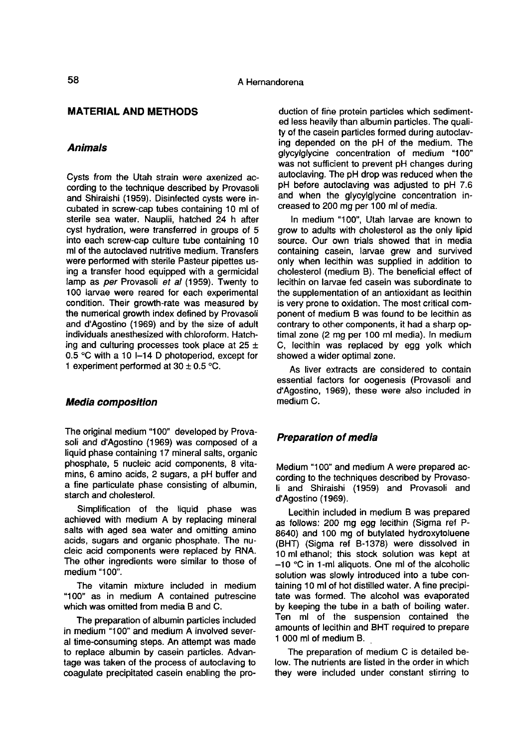### MATERIAL AND METHODS

#### Animals

Cysts from the Utah strain were axenized according to the technique described by Provasoli and Shiraishi (1959). Disinfected cysts were incubated in screw-cap tubes containing 10 ml of sterile sea water. Nauplii, hatched 24 h after cyst hydration, were transferred in groups of 5 into each screw-cap culture tube containing 10 ml of the autoclaved nutritive medium. Transfers were performed with sterile Pasteur pipettes using a transfer hood equipped with a germicidal lamp as per Provasoli et al (1959). Twenty to 100 larvae were reared for each experimental condition. Their growth-rate was measured by the numerical growth index defined by Provasoli and d'Agostino (1969) and by the size of adult individuals anesthesized with chloroform. Hatching and culturing processes took place at  $25 \pm$ 0.5 °C with a 10 I-14 D photoperiod, except for 1 experiment performed at  $30 \pm 0.5$  °C.

#### Media composition

The original medium "100" developed by Provasoli and d'Agostino (1969) was composed of a liquid phase containing 17 mineral salts, organic phosphate, 5 nucleic acid components, 8 vitamins, 6 amino acids, 2 sugars, a pH buffer and a fine particulate phase consisting of albumin, starch and cholesterol.

Simplification of the liquid phase was achieved with medium A by replacing mineral salts with aged sea water and omitting amino acids, sugars and organic phosphate. The nucleic acid components were replaced by RNA. The other ingredients were similar to those of medium "100".

The vitamin mixture included in medium "100" as in medium A contained putrescine which was omitted from media B and C.

The preparation of albumin particles included in medium "100" and medium A involved several time-consuming steps. An attempt was made to replace albumin by casein particles. Advantage was taken of the process of autoclaving to coagulate precipitated casein enabling the pro-

duction of fine protein particles which sedimented less heavily than albumin particles. The quality of the casein particles formed during autoclaving depended on the pH of the medium. The glycylglycine concentration of medium "100" was not sufficient to prevent pH changes during autoclaving. The pH drop was reduced when the pH before autoclaving was adjusted to pH 7.6 and when the glycylglycine concentration increased to 200 mg per 100 ml of media.

In medium "100", Utah larvae are known to grow to adults with cholesterol as the only lipid source. Our own trials showed that in media containing casein, larvae grew and survived only when lecithin was supplied in addition to cholesterol (medium B). The beneficial effect of lecithin on larvae fed casein was subordinate to the supplementation of an antioxidant as lecithin is very prone to oxidation. The most critical component of medium B was found to be lecithin as contrary to other components, it had a sharp optimal zone (2 mg per 100 ml media). In medium C, lecithin was replaced by egg yolk which showed a wider optimal zone.

As liver extracts are considered to contain essential factors for oogenesis (Provasoli and d'Agostino, 1969), these were also included in medium C.

#### Preparation of media

Medium "100" and medium A were prepared according to the techniques described by Provasoli and Shiraishi (1959) and Provasoli and d'Agostino (1969).

Lecithin included in medium B was prepared as follows: 200 mg egg lecithin (Sigma ref P-8640) and 100 mg of butylated hydroxytoluene (BHT) (Sigma ref B-1378) were dissolved in 10 ml ethanol; this stock solution was kept at  $-10$  °C in 1-ml aliquots. One ml of the alcoholic solution was slowly introduced into a tube con-<br>taining 10 ml of hot distilled water. A fine precipitate was formed. The alcohol was evaporated by keeping the tube in a bath of boiling water. Ten ml of the suspension contained the amounts of lecithin and BHT required to prepare 1 000 ml of medium B.

The preparation of medium C is detailed below. The nutrients are listed in the order in which they were included under constant stirring to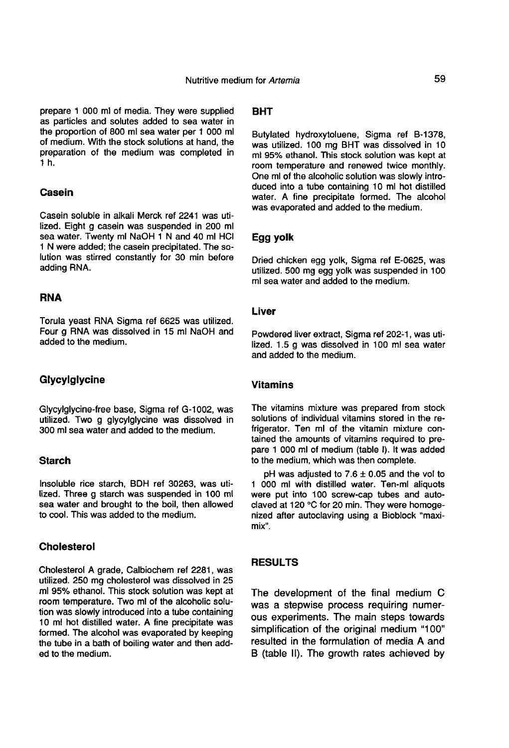prepare 1 000 ml of media. They were supplied as particles and solutes added to sea water in the proportion of 800 ml sea water per 1 000 ml of medium. With the stock solutions at hand, the preparation of the medium was completed in 1 h.

### **Casein**

Casein soluble in alkali Merck ref 2241 was utilized. Eight g casein was suspended in 200 ml sea water. Twenty ml NaOH 1 N and 40 ml HCl 1 N were added; the casein precipitated. The solution was stirred constantly for 30 min before adding RNA.

#### **RNA**

Torula yeast RNA Sigma ref 6625 was utilized. Four g RNA was dissolved in 15 ml NaOH and added to the medium.

#### Glycylglycine

Glycylglycine-free base, Sigma ref G-1002, was utilized. Two g glycylglycine was dissolved in 300 ml sea water and added to the medium.

## **Starch**

Insoluble rice starch, BDH ref 30263, was utilized. Three g starch was suspended in 100 ml sea water and brought to the boil, then allowed to cool. This was added to the medium.

### Cholesterol

Cholesterol A grade, Calbiochem ref 2281, was utilized. 250 mg cholesterol was dissolved in 25 ml 95% ethanol. This stock solution was kept at room temperature. Two ml of the alcoholic solution was slowly introduced into a tube containing 10 ml hot distilled water. A fine precipitate was formed. The alcohol was evaporated by keeping the tube in a bath of boiling water and then added to the medium.

## BHT

Butylated hydroxytoluene, Sigma ref B-1378, was utilized. 100 mg BHT was dissolved in 10 ml 95% ethanol. This stock solution was kept at room temperature and renewed twice monthly. One ml of the alcoholic solution was slowly introduced into a tube containing 10 ml hot distilled water. A fine precipitate formed. The alcohol was evaporated and added to the medium.

#### Egg yolk

Dried chicken egg yolk, Sigma ref E-0625, was utilized. 500 mg egg yolk was suspended in 100 ml sea water and added to the medium.

#### Liver

Powdered liver extract, Sigma ref 202-1, was utilized. 1.5 g was dissolved in 100 ml sea water and added to the medium.

## Vitamins

The vitamins mixture was prepared from stock solutions of individual vitamins stored in the refrigerator. Ten ml of the vitamin mixture contained the amounts of vitamins required to prepare 1 000 ml of medium (table I). It was added to the medium, which was then complete.

pH was adjusted to  $7.6 \pm 0.05$  and the vol to 1 000 ml with distilled water. Ten-ml aliquots were put into 100 screw-cap tubes and autoclaved at 120 °C for 20 min. They were homogenized after autoclaving using a Bioblock "maximix".

## RESULTS

The development of the final medium C was a stepwise process requiring numerous experiments. The main steps towards simplification of the original medium "100" resulted in the formulation of media A and B (table II). The growth rates achieved by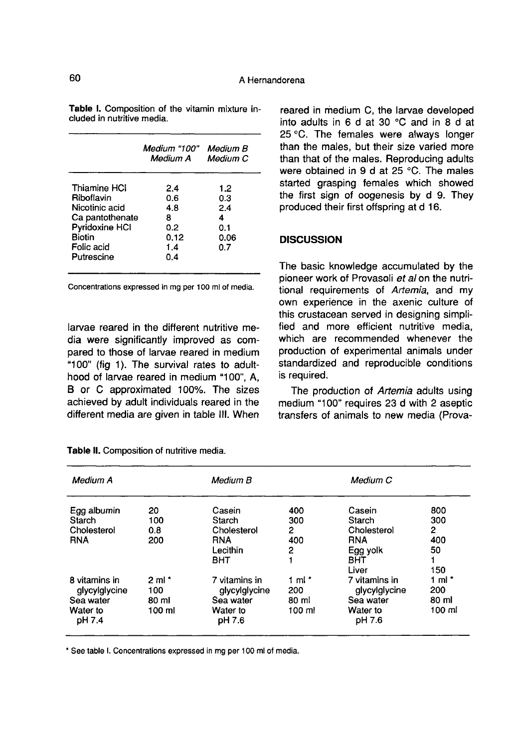|                                                                                                                                | Medium "100"<br>Medium A                            | Medium B<br>Medium C                         |
|--------------------------------------------------------------------------------------------------------------------------------|-----------------------------------------------------|----------------------------------------------|
| Thiamine HCI<br>Riboflavin<br>Nicotinic acid<br>Ca pantothenate<br>Pyridoxine HCI<br><b>Biotin</b><br>Folic acid<br>Putrescine | 2.4<br>0.6<br>4 8<br>8<br>0.2<br>0.12<br>1.4<br>0.4 | 1.2<br>0.3<br>2.4<br>4<br>0.1<br>0.06<br>0.7 |

Table I. Composition of the vitamin mixture included in nutritive media.

Concentrations expressed in mg per 100 ml of media.

larvae reared in the different nutritive media were significantly improved as compared to those of larvae reared in medium "100" (fig 1). The survival rates to adulthood of larvae reared in medium "100", A, B or C approximated 100%. The sizes achieved by adult individuals reared in the different media are given in table III. When reared in medium C, the larvae developed into adults in 6 d at 30 °C and in 8 d at 25 °C. The females were always longer than the males, but their size varied more than that of the males. Reproducing adults were obtained in 9 d at 25 °C. The males started grasping females which showed the first sign of oogenesis by d 9. They produced their first offspring at d 16.

### **DISCUSSION**

The basic knowledge accumulated by the pioneer work of Provasoli et al on the nutritional requirements of Artemia, and my own experience in the axenic culture of this crustacean served in designing simplified and more efficient nutritive media, which are recommended whenever the production of experimental animals under standardized and reproducible conditions is required.

The production of Artemia adults using medium "100" requires 23 d with 2 aseptic transfers of animals to new media (Prova-

| Medium A                                                          |                                              | Medium B                                                                |                                  | Medium C                                                                         |                                                     |
|-------------------------------------------------------------------|----------------------------------------------|-------------------------------------------------------------------------|----------------------------------|----------------------------------------------------------------------------------|-----------------------------------------------------|
| Egg albumin<br>Starch<br>Cholesterol<br><b>RNA</b>                | 20<br>100<br>0.8<br>200                      | Casein<br><b>Starch</b><br>Cholesterol<br><b>RNA</b><br>Lecithin<br>BHT | 400<br>300<br>2<br>400<br>2      | Casein<br>Starch<br>Cholesterol<br><b>RNA</b><br>Egg yolk<br><b>BHT</b><br>Liver | 800<br>300<br>$\mathbf{2}$<br>400<br>50<br>1<br>150 |
| 8 vitamins in<br>glycylglycine<br>Sea water<br>Water to<br>pH 7.4 | $2 \text{ ml}$ *<br>100<br>80 ml<br>$100$ ml | 7 vitamins in<br>glycylglycine<br>Sea water<br>Water to<br>pH 7.6       | 1 ml *<br>200<br>80 ml<br>100 ml | 7 vitamins in<br>glycylglycine<br>Sea water<br>Water to<br>pH 7.6                | 1 ml $^*$<br>200<br>80 ml<br>100 ml                 |

Table II. Composition of nutritive media.

\* See table I. Concentrations expressed in mg per 100 ml of media.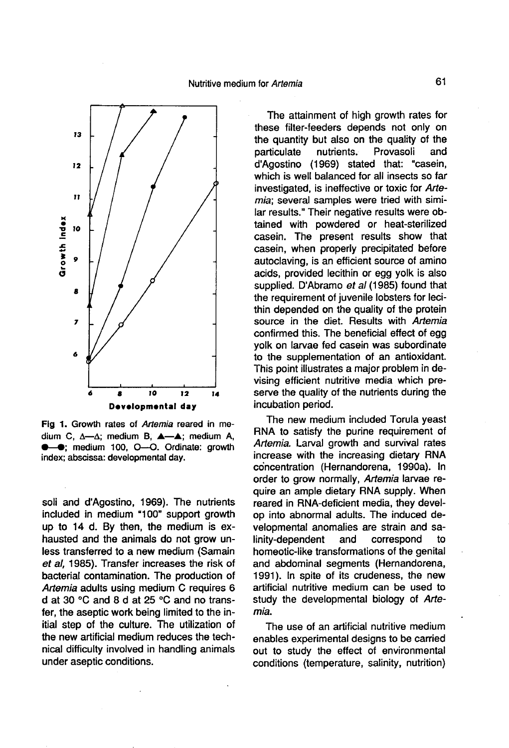Nutritive medium for Artemia



Fig 1. Growth rates of Artemia reared in medium C,  $\Delta \rightarrow \Delta$ ; medium B,  $\Delta \rightarrow \Delta$ ; medium A, **C-0**; medium 100, O-O. Ordinate: growth index; abscissa: developmental day.

soli and d'Agostino, 1969). The nutrients included in medium "100" support growth up to 14 d. By then, the medium is exhausted and the animals do not grow unless transferred to a new medium (Samain et al, 1985). Transfer increases the risk of bacterial contamination. The production of Artemia adults using medium C requires 6 d at 30 °C and 8 d at 25 °C and no transfer, the aseptic work being limited to the initial step of the culture. The utilization of the new artificial medium reduces the technical difficulty involved in handling animals under aseptic conditions.

The attainment of high growth rates for these filter-feeders depends not only on the quantity but also on the quality of the<br>particulate nutrients. Provasoli and particulate d'Agostino (1969) stated that: "casein, which is well balanced for all insects so far investigated, is ineffective or toxic for Artemia; several samples were tried with similar results." Their negative results were obtained with powdered or heat-sterilized casein. The present results show that casein, when properly precipitated before autoclaving, is an efficient source of amino acids, provided lecithin or egg yolk is also supplied. D'Abramo et al (1985) found that the requirement of juvenile lobsters for lecithin depended on the quality of the protein source in the diet. Results with Artemia confirmed this. The beneficial effect of egg yolk on larvae fed casein was subordinate to the supplementation of an antioxidant. This point illustrates a major problem in devising efficient nutritive media which preserve the quality of the nutrients during the incubation period.

The new medium included Torula yeast RNA to satisfy the purine requirement of Artemia. Larval growth and survival rates increase with the increasing dietary RNA concentration (Hernandorena, 1990a). In order to grow normally, Artemia larvae require an ample dietary RNA supply. When reared in RNA-deficient media, they develop into abnormal adults. The induced developmental anomalies are strain and salinity-dependent homeotic-like transformations of the genital and abdominal segments (Hernandorena, 1991). In spite of its crudeness, the new artificial nutritive medium can be used to study the developmental biology of Arte-<br>mia.  $m$ ia.  $\blacksquare$ 

The use of an artificial nutritive medium enables experimental designs to be carried out to study the effect of environmental conditions (temperature, salinity, nutrition)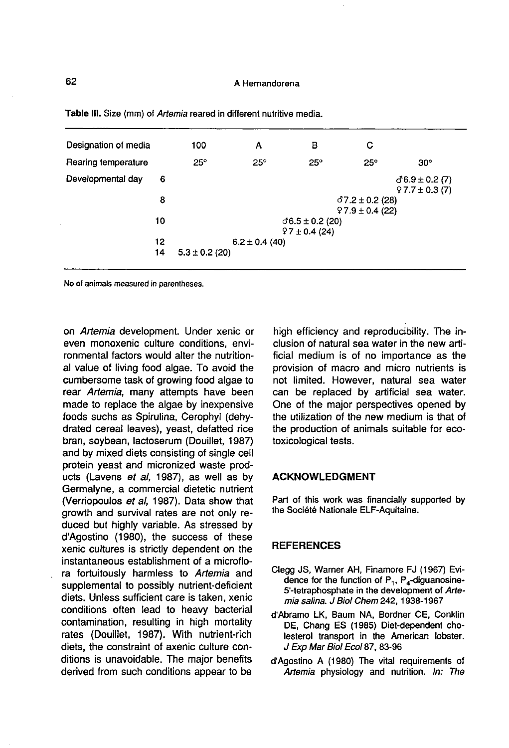| Designation of media |    | 100                | А          | в                  | С                                            |                                           |  |  |
|----------------------|----|--------------------|------------|--------------------|----------------------------------------------|-------------------------------------------|--|--|
| Rearing temperature  |    | $25^\circ$         | $25^\circ$ | $25^\circ$         | $25^\circ$                                   | $30^\circ$                                |  |  |
| Developmental day    | 6  |                    |            |                    |                                              | $(76.9 \pm 0.2)$ (7)<br>$97.7 \pm 0.3(7)$ |  |  |
|                      | 8  |                    |            |                    | $(37.2 \pm 0.2)$ (28)<br>$97.9 \pm 0.4$ (22) |                                           |  |  |
|                      |    |                    |            |                    |                                              |                                           |  |  |
|                      | 10 |                    |            | $0.5 \pm 0.2$ (20) |                                              |                                           |  |  |
|                      |    | $97 \pm 0.4$ (24)  |            |                    |                                              |                                           |  |  |
|                      | 12 | $6.2 \pm 0.4$ (40) |            |                    |                                              |                                           |  |  |
|                      | 14 | $5.3 \pm 0.2$ (20) |            |                    |                                              |                                           |  |  |
|                      |    |                    |            |                    |                                              |                                           |  |  |

Table III. Size (mm) of Artemia reared in different nutritive media.

No of animals measured in parentheses.

on Artemia development. Under xenic or even monoxenic culture conditions, environmental factors would alter the nutritional value of living food algae. To avoid the cumbersome task of growing food algae to rear Artemia, many attempts have been made to replace the algae by inexpensive foods suchs as Spirulina, Cerophyl (dehydrated cereal leaves), yeast, defatted rice bran, soybean, lactoserum (Douillet, 1987) and by mixed diets consisting of single cell protein yeast and micronized waste products (Lavens et al, 1987), as well as by Germalyne, a commercial dietetic nutrient (Verriopoulos et al, 1987). Data show that growth and survival rates are not only reduced but highly variable. As stressed by d'Agostino (1980), the success of these xenic cultures is strictly dependent on the instantaneous establishment of a microflora fortuitously harmless to Artemia and supplemental to possibly nutrient-deficient diets. Unless sufficient care is taken, xenic conditions often lead to heavy bacterial contamination, resulting in high mortality rates (Douillet, 1987). With nutrient-rich diets, the constraint of axenic culture conditions is unavoidable. The major benefits derived from such conditions appear to be

high efficiency and reproducibility. The inclusion of natural sea water in the new artificial medium is of no importance as the provision of macro and micro nutrients is not limited. However, natural sea water can be replaced by artificial sea water. One of the major perspectives opened by the utilization of the new medium is that of the production of animals suitable for ecotoxicological tests.

#### ACKNOWLEDGMENT

Part of this work was financially supported by the Société Nationale ELF-Aquitaine.

#### **REFERENCES**

- Clegg JS, Warner AH, Finamore FJ (1967) Evidence for the function of  $P_1$ ,  $P_4$ -diguanosine-Société Nationale ELF-Aquitaine.<br>
Société Nationale ELF-Aquitaine.<br>
FERENCES<br>
gg JS, Warner AH, Finamore FJ (1967) Evi-<br>
dence for the function of  $P_1$ ,  $P_4$ -diguanosine-<br>
5'-tetraphosphate in the development of *Arte-*5'-tetraphosphate in the development of Artemia salina. J Biol Chem 242, 1938-1967
- d'Abramo LK, Baum NA, Bordner CE, Conklin DE, Chang ES (1985) Diet-dependent cholesterol transport in the American lobster. J Exp Mar Biol Ecol 87, 83-96
- d'Agostino A (1980) The vital requirements of Artemia physiology and nutrition. In: The